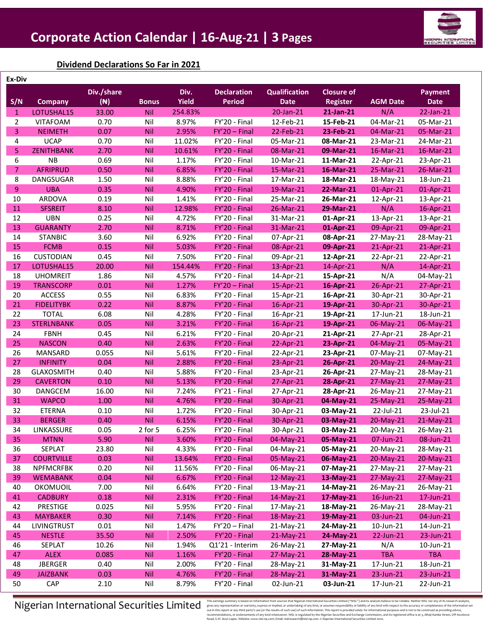

### **Dividend Declarations So Far in 2021**

| Ex-Div         |                   |                |              |              |                    |                      |                   |                 |                |
|----------------|-------------------|----------------|--------------|--------------|--------------------|----------------------|-------------------|-----------------|----------------|
|                |                   | Div./share     |              | Div.         | <b>Declaration</b> | <b>Qualification</b> | <b>Closure of</b> |                 | <b>Payment</b> |
| S/N            | <b>Company</b>    | $(\mathbb{N})$ | <b>Bonus</b> | <b>Yield</b> | <b>Period</b>      | <b>Date</b>          | <b>Register</b>   | <b>AGM Date</b> | <b>Date</b>    |
| $\mathbf{1}$   | LOTUSHAL15        | 33.00          | Nil          | 254.83%      |                    | 20-Jan-21            | 21-Jan-21         | N/A             | 22-Jan-21      |
| $\overline{2}$ | <b>VITAFOAM</b>   | 0.70           | Nil          | 8.97%        | FY'20 - Final      | 12-Feb-21            | 15-Feb-21         | 04-Mar-21       | 05-Mar-21      |
| 3              | <b>NEIMETH</b>    | 0.07           | Nil          | 2.95%        | $FY'20 - Final$    | 22-Feb-21            | 23-Feb-21         | 04-Mar-21       | 05-Mar-21      |
| 4              | <b>UCAP</b>       | 0.70           | Nil          | 11.02%       | FY'20 - Final      | 05-Mar-21            | 08-Mar-21         | 23-Mar-21       | 24-Mar-21      |
| 5              | <b>ZENITHBANK</b> | 2.70           | Nil          | 10.61%       | FY'20 - Final      | 08-Mar-21            | 09-Mar-21         | 16-Mar-21       | 16-Mar-21      |
| 6              | <b>NB</b>         | 0.69           | Nil          | 1.17%        | FY'20 - Final      | 10-Mar-21            | 11-Mar-21         | 22-Apr-21       | 23-Apr-21      |
| $\overline{7}$ | <b>AFRIPRUD</b>   | 0.50           | Nil          | 6.85%        | FY'20 - Final      | 15-Mar-21            | 16-Mar-21         | 25-Mar-21       | 26-Mar-21      |
| 8              | DANGSUGAR         | 1.50           | Nil          | 8.88%        | FY'20 - Final      | 17-Mar-21            | 18-Mar-21         | 18-May-21       | 18-Jun-21      |
| 9              | <b>UBA</b>        | 0.35           | Nil          | 4.90%        | FY'20 - Final      | 19-Mar-21            | 22-Mar-21         | 01-Apr-21       | 01-Apr-21      |
| 10             | ARDOVA            | 0.19           | Nil          | 1.41%        | FY'20 - Final      | 25-Mar-21            | 26-Mar-21         | 12-Apr-21       | 13-Apr-21      |
| 11             | <b>SFSREIT</b>    | 8.10           | Nil          | 12.98%       | FY'20 - Final      | 26-Mar-21            | 29-Mar-21         | N/A             | 16-Apr-21      |
| 12             | <b>UBN</b>        | 0.25           | Nil          | 4.72%        | FY'20 - Final      | 31-Mar-21            | 01-Apr-21         | 13-Apr-21       | 13-Apr-21      |
| 13             | <b>GUARANTY</b>   | 2.70           | Nil          | 8.71%        | FY'20 - Final      | 31-Mar-21            | 01-Apr-21         | 09-Apr-21       | 09-Apr-21      |
| 14             | <b>STANBIC</b>    | 3.60           | Nil          | 6.92%        | FY'20 - Final      | 07-Apr-21            | 08-Apr-21         | 27-May-21       | 28-May-21      |
| 15             | <b>FCMB</b>       | 0.15           | Nil          | 5.03%        | FY'20 - Final      | 08-Apr-21            | 09-Apr-21         | 21-Apr-21       | 21-Apr-21      |
| 16             | <b>CUSTODIAN</b>  | 0.45           | Nil          | 7.50%        | FY'20 - Final      | 09-Apr-21            | 12-Apr-21         | 22-Apr-21       | 22-Apr-21      |
| 17             | LOTUSHAL15        | 20.00          | Nil          | 154.44%      | FY'20 - Final      | 13-Apr-21            | 14-Apr-21         | N/A             | 14-Apr-21      |
| 18             | <b>UHOMREIT</b>   | 1.86           | Nil          | 4.57%        | FY'20 - Final      | 14-Apr-21            | 15-Apr-21         | N/A             | 04-May-21      |
| 19             | <b>TRANSCORP</b>  | 0.01           | Nil          | 1.27%        | $FY'20 - Final$    | 15-Apr-21            | 16-Apr-21         | 26-Apr-21       | 27-Apr-21      |
| 20             | <b>ACCESS</b>     | 0.55           | Nil          | 6.83%        | FY'20 - Final      | 15-Apr-21            | 16-Apr-21         | 30-Apr-21       | 30-Apr-21      |
| 21             | <b>FIDELITYBK</b> | 0.22           | Nil          | 8.87%        | FY'20 - Final      | 16-Apr-21            | 19-Apr-21         | 30-Apr-21       | 30-Apr-21      |
| 22             | <b>TOTAL</b>      | 6.08           | Nil          | 4.28%        | FY'20 - Final      | 16-Apr-21            | 19-Apr-21         | 17-Jun-21       | 18-Jun-21      |
| 23             | <b>STERLNBANK</b> | 0.05           | Nil          | 3.21%        | FY'20 - Final      | 16-Apr-21            | 19-Apr-21         | 06-May-21       | 06-May-21      |
| 24             | <b>FBNH</b>       | 0.45           | Nil          | 6.21%        | FY'20 - Final      | 20-Apr-21            | 21-Apr-21         | 27-Apr-21       | 28-Apr-21      |
| 25             | <b>NASCON</b>     | 0.40           | Nil          | 2.63%        | FY'20 - Final      | 22-Apr-21            | 23-Apr-21         | 04-May-21       | 05-May-21      |
| 26             | MANSARD           | 0.055          | Nil          | 5.61%        | FY'20 - Final      | 22-Apr-21            | 23-Apr-21         | 07-May-21       | 07-May-21      |
| 27             | <b>INFINITY</b>   | 0.04           | Nil          | 2.88%        | FY'20 - Final      | 23-Apr-21            | 26-Apr-21         | 20-May-21       | 24-May-21      |
| 28             | <b>GLAXOSMITH</b> | 0.40           | Nil          | 5.88%        | FY'20 - Final      | 23-Apr-21            | 26-Apr-21         | 27-May-21       | 28-May-21      |
| 29             | <b>CAVERTON</b>   | 0.10           | Nil          | 5.13%        | FY'20 - Final      | 27-Apr-21            | 28-Apr-21         | 27-May-21       | 27-May-21      |
| 30             | <b>DANGCEM</b>    | 16.00          | Nil          | 7.24%        | FY'21 - Final      | 27-Apr-21            | 28-Apr-21         | 26-May-21       | 27-May-21      |
| 31             | <b>WAPCO</b>      | 1.00           | Nil          | 4.76%        | FY'20 - Final      | 30-Apr-21            | 04-May-21         | 25-May-21       | 25-May-21      |
| 32             | <b>ETERNA</b>     | 0.10           | Nil          | 1.72%        | FY'20 - Final      | 30-Apr-21            | 03-May-21         | 22-Jul-21       | 23-Jul-21      |
| 33             | <b>BERGER</b>     | 0.40           | Nil          | 6.15%        | FY'20 - Final      | 30-Apr-21            | 03-May-21         | 20-May-21       | $21-May-21$    |
| 34             | LINKASSURE        | 0.05           | 2 for 5      | 6.25%        | FY'20 - Final      | 30-Apr-21            | 03-May-21         | 20-May-21       | 26-May-21      |
| 35             | <b>MTNN</b>       | 5.90           | <b>Nil</b>   | 3.60%        | FY'20 - Final      | 04-May-21            | 05-May-21         | 07-Jun-21       | 08-Jun-21      |
| 36             | SEPLAT            | 23.80          | Nil          | 4.33%        | FY'20 - Final      | 04-May-21            | 05-May-21         | 20-May-21       | 28-May-21      |
| 37             | <b>COURTVILLE</b> | 0.03           | <b>Nil</b>   | 13.64%       | FY'20 - Final      | 05-May-21            | 06-May-21         | 20-May-21       | $20-May-21$    |
| 38             | <b>NPFMCRFBK</b>  | 0.20           | Nil          | 11.56%       | FY'20 - Final      | 06-May-21            | 07-May-21         | 27-May-21       | 27-May-21      |
| 39             | <b>WEMABANK</b>   | 0.04           | Nil          | 6.67%        | FY'20 - Final      | 12-May-21            | 13-May-21         | 27-May-21       | 27-May-21      |
| 40             | OKOMUOIL          | 7.00           | Nil          | 6.64%        | FY'20 - Final      | 13-May-21            | 14-May-21         | 26-May-21       | 26-May-21      |
| 41             | <b>CADBURY</b>    | 0.18           | <b>Nil</b>   | 2.31%        | FY'20 - Final      | 14-May-21            | 17-May-21         | $16$ -Jun-21    | 17-Jun-21      |
| 42             | <b>PRESTIGE</b>   | 0.025          | Nil          | 5.95%        | FY'20 - Final      | 17-May-21            | 18-May-21         | 26-May-21       | 28-May-21      |
| 43             | <b>MAYBAKER</b>   | 0.30           | Nil          | 7.14%        | FY'20 - Final      | 18-May-21            | 19-May-21         | 03-Jun-21       | 04-Jun-21      |
| 44             | LIVINGTRUST       | 0.01           | Nil          | 1.47%        | $FY'20 - Final$    | 21-May-21            | 24-May-21         | 10-Jun-21       | 14-Jun-21      |
| 45             | <b>NESTLE</b>     | 35.50          | Nil          | 2.50%        | FY'20 - Final      | 21-May-21            | 24-May-21         | 22-Jun-21       | 23-Jun-21      |
| 46             | SEPLAT            | 10.26          | Nil          | 1.94%        | Q1'21 - Interim    | 26-May-21            | 27-May-21         | N/A             | 10-Jun-21      |
| 47             | <b>ALEX</b>       | 0.085          | Nil          | 1.16%        | FY'20 - Final      | 27-May-21            | 28-May-21         | <b>TBA</b>      | <b>TBA</b>     |
| 48             | <b>JBERGER</b>    | 0.40           | Nil          | 2.00%        | FY'20 - Final      | 28-May-21            | 31-May-21         | 17-Jun-21       | 18-Jun-21      |
| 49             | <b>JAIZBANK</b>   | 0.03           | Nil          | 4.76%        |                    |                      | 31-May-21         | 23-Jun-21       |                |
| 50             |                   |                |              |              | FY'20 - Final      | 28-May-21            |                   |                 | 23-Jun-21      |
|                | <b>CAP</b>        | 2.10           | Nil          | 8.79%        | FY'20 - Final      | 02-Jun-21            | 03-Jun-21         | 17-Jun-21       | 22-Jun-21      |

 $\textbf{N}$  isteraining summarily based on information of or multile archive in the security examples in maring is based on information for our and information for summarily express or implied, or undertaking of any kind, or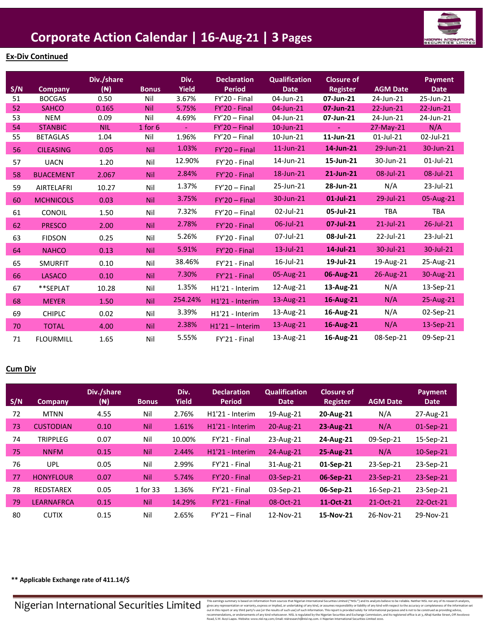

### **Ex-Div Continued**

| S/N | Company          | Div./share<br>$(\mathbb{N})$ | <b>Bonus</b> | Div.<br><b>Yield</b> | <b>Declaration</b><br><b>Period</b> | <b>Qualification</b><br><b>Date</b> | <b>Closure of</b><br><b>Register</b> | <b>AGM Date</b> | Payment<br><b>Date</b> |
|-----|------------------|------------------------------|--------------|----------------------|-------------------------------------|-------------------------------------|--------------------------------------|-----------------|------------------------|
| 51  | <b>BOCGAS</b>    | 0.50                         | Nil          | 3.67%                | FY'20 - Final                       | 04-Jun-21                           | 07-Jun-21                            | 24-Jun-21       | 25-Jun-21              |
| 52  | <b>SAHCO</b>     | 0.165                        | <b>Nil</b>   | 5.75%                | FY'20 - Final                       | 04-Jun-21                           | 07-Jun-21                            | 22-Jun-21       | 22-Jun-21              |
| 53  | <b>NEM</b>       | 0.09                         | Nil          | 4.69%                | $FY'20 - Final$                     | 04-Jun-21                           | 07-Jun-21                            | 24-Jun-21       | 24-Jun-21              |
| 54  | <b>STANBIC</b>   | <b>NIL</b>                   | $1$ for 6    | $\omega$             | $FY'20 - Final$                     | $10$ -Jun- $21$                     |                                      | 27-May-21       | N/A                    |
| 55  | <b>BETAGLAS</b>  | 1.04                         | Nil          | 1.96%                | $FY'20 - Final$                     | 10-Jun-21                           | 11-Jun-21                            | $01$ -Jul-21    | 02-Jul-21              |
| 56  | <b>CILEASING</b> | 0.05                         | <b>Nil</b>   | 1.03%                | $FY'20 - Final$                     | 11-Jun-21                           | 14-Jun-21                            | 29-Jun-21       | 30-Jun-21              |
| 57  | <b>UACN</b>      | 1.20                         | Nil          | 12.90%               | FY'20 - Final                       | 14-Jun-21                           | 15-Jun-21                            | 30-Jun-21       | 01-Jul-21              |
| 58  | <b>BUACEMENT</b> | 2.067                        | Nil          | 2.84%                | FY'20 - Final                       | 18-Jun-21                           | 21-Jun-21                            | 08-Jul-21       | 08-Jul-21              |
| 59  | AIRTELAFRI       | 10.27                        | Nil          | 1.37%                | $FY'20 - Final$                     | 25-Jun-21                           | 28-Jun-21                            | N/A             | 23-Jul-21              |
| 60  | <b>MCHNICOLS</b> | 0.03                         | <b>Nil</b>   | 3.75%                | $FY'20 - Final$                     | 30-Jun-21                           | 01-Jul-21                            | 29-Jul-21       | 05-Aug-21              |
| 61  | CONOIL           | 1.50                         | Nil          | 7.32%                | $FY'20 - Final$                     | 02-Jul-21                           | 05-Jul-21                            | <b>TBA</b>      | <b>TBA</b>             |
| 62  | <b>PRESCO</b>    | 2.00                         | <b>Nil</b>   | 2.78%                | FY'20 - Final                       | 06-Jul-21                           | 07-Jul-21                            | $21$ -Jul-21    | 26-Jul-21              |
| 63  | <b>FIDSON</b>    | 0.25                         | Nil          | 5.26%                | FY'20 - Final                       | 07-Jul-21                           | 08-Jul-21                            | 22-Jul-21       | 23-Jul-21              |
| 64  | <b>NAHCO</b>     | 0.13                         | <b>Nil</b>   | 5.91%                | FY'20 - Final                       | $13$ -Jul-21                        | 14-Jul-21                            | 30-Jul-21       | 30-Jul-21              |
| 65  | <b>SMURFIT</b>   | 0.10                         | Nil          | 38.46%               | FY'21 - Final                       | 16-Jul-21                           | 19-Jul-21                            | 19-Aug-21       | 25-Aug-21              |
| 66  | <b>LASACO</b>    | 0.10                         | Nil          | 7.30%                | FY'21 - Final                       | 05-Aug-21                           | 06-Aug-21                            | 26-Aug-21       | 30-Aug-21              |
| 67  | **SEPLAT         | 10.28                        | Nil          | 1.35%                | H1'21 - Interim                     | 12-Aug-21                           | 13-Aug-21                            | N/A             | 13-Sep-21              |
| 68  | <b>MEYER</b>     | 1.50                         | <b>Nil</b>   | 254.24%              | H1'21 - Interim                     | 13-Aug-21                           | 16-Aug-21                            | N/A             | 25-Aug-21              |
| 69  | <b>CHIPLC</b>    | 0.02                         | Nil          | 3.39%                | H1'21 - Interim                     | 13-Aug-21                           | 16-Aug-21                            | N/A             | 02-Sep-21              |
| 70  | <b>TOTAL</b>     | 4.00                         | <b>Nil</b>   | 2.38%                | $H1'21 - Interm$                    | 13-Aug-21                           | 16-Aug-21                            | N/A             | 13-Sep-21              |
| 71  | <b>FLOURMILL</b> | 1.65                         | Nil          | 5.55%                | FY'21 - Final                       | 13-Aug-21                           | 16-Aug-21                            | 08-Sep-21       | 09-Sep-21              |

### **Cum Div**

|     |                   | Div./share       |              | Div.         | <b>Declaration</b>           | <b>Qualification</b> | <b>Closure of</b> |                 | <b>Payment</b> |
|-----|-------------------|------------------|--------------|--------------|------------------------------|----------------------|-------------------|-----------------|----------------|
| S/N | <b>Company</b>    | ( <del>N</del> ) | <b>Bonus</b> | <b>Yield</b> | <b>Period</b>                | <b>Date</b>          | Register          | <b>AGM Date</b> | <b>Date</b>    |
| 72  | <b>MTNN</b>       | 4.55             | Nil          | 2.76%        | H <sub>1</sub> '21 - Interim | 19-Aug-21            | 20-Aug-21         | N/A             | 27-Aug-21      |
| 73  | <b>CUSTODIAN</b>  | 0.10             | <b>Nil</b>   | 1.61%        | H <sub>1</sub> '21 - Interim | 20-Aug-21            | 23-Aug-21         | N/A             | $01-Sep-21$    |
| 74  | <b>TRIPPLEG</b>   | 0.07             | Nil          | 10.00%       | FY'21 - Final                | 23-Aug-21            | 24-Aug-21         | 09-Sep-21       | 15-Sep-21      |
| 75  | <b>NNFM</b>       | 0.15             | <b>Nil</b>   | 2.44%        | H <sub>1</sub> '21 - Interim | 24-Aug-21            | 25-Aug-21         | N/A             | $10-Sep-21$    |
| 76  | <b>UPL</b>        | 0.05             | Nil          | 2.99%        | FY'21 - Final                | 31-Aug-21            | 01-Sep-21         | 23-Sep-21       | 23-Sep-21      |
| 77  | <b>HONYFLOUR</b>  | 0.07             | <b>Nil</b>   | 5.74%        | FY'20 - Final                | 03-Sep-21            | 06-Sep-21         | 23-Sep-21       | 23-Sep-21      |
| 78  | <b>REDSTAREX</b>  | 0.05             | 1 for 33     | 1.36%        | FY'21 - Final                | 03-Sep-21            | 06-Sep-21         | 16-Sep-21       | 23-Sep-21      |
| 79  | <b>LEARNAFRCA</b> | 0.15             | <b>Nil</b>   | 14.29%       | FY'21 - Final                | 08-Oct-21            | 11-Oct-21         | 21-Oct-21       | 22-Oct-21      |
| 80  | <b>CUTIX</b>      | 0.15             | Nil          | 2.65%        | $FY'21 - Final$              | 12-Nov-21            | 15-Nov-21         | 26-Nov-21       | 29-Nov-21      |

**\*\* Applicable Exchange rate of 411.14/\$**

 $\textbf{N}$  isteraining summarily based on information of or multile archive in the security examples in maring is based on information for our and information for summarily express or implied, or undertaking of any kind, or